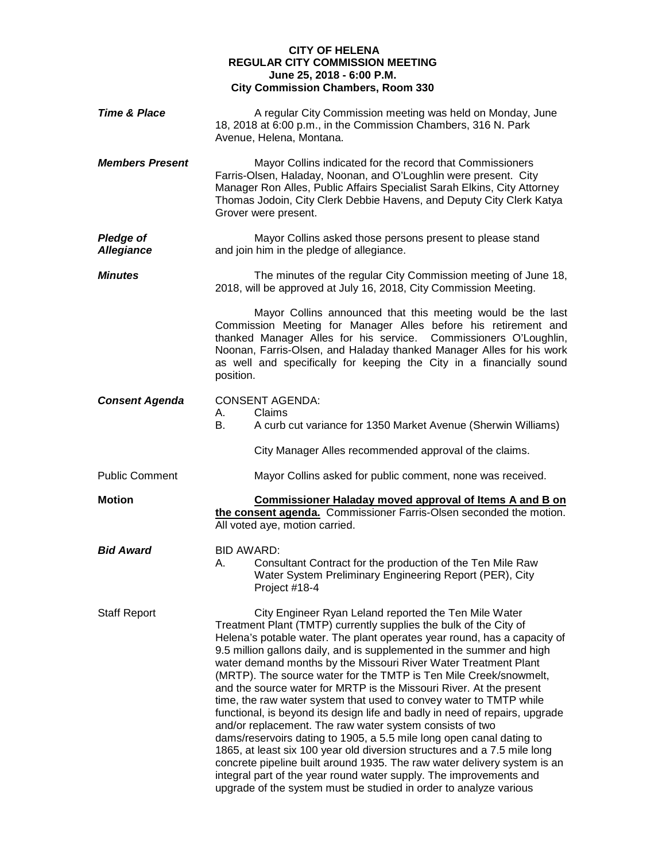## **CITY OF HELENA REGULAR CITY COMMISSION MEETING June 25, 2018 - 6:00 P.M. City Commission Chambers, Room 330**

| <b>Time &amp; Place</b>               | A regular City Commission meeting was held on Monday, June<br>18, 2018 at 6:00 p.m., in the Commission Chambers, 316 N. Park<br>Avenue, Helena, Montana.                                                                                                                                                                                                                                                                                                                                                                                                                                                                                                                                                                                                                                                                                                                                                                                                                                                                                                                                   |
|---------------------------------------|--------------------------------------------------------------------------------------------------------------------------------------------------------------------------------------------------------------------------------------------------------------------------------------------------------------------------------------------------------------------------------------------------------------------------------------------------------------------------------------------------------------------------------------------------------------------------------------------------------------------------------------------------------------------------------------------------------------------------------------------------------------------------------------------------------------------------------------------------------------------------------------------------------------------------------------------------------------------------------------------------------------------------------------------------------------------------------------------|
| <b>Members Present</b>                | Mayor Collins indicated for the record that Commissioners<br>Farris-Olsen, Haladay, Noonan, and O'Loughlin were present. City<br>Manager Ron Alles, Public Affairs Specialist Sarah Elkins, City Attorney<br>Thomas Jodoin, City Clerk Debbie Havens, and Deputy City Clerk Katya<br>Grover were present.                                                                                                                                                                                                                                                                                                                                                                                                                                                                                                                                                                                                                                                                                                                                                                                  |
| <b>Pledge of</b><br><b>Allegiance</b> | Mayor Collins asked those persons present to please stand<br>and join him in the pledge of allegiance.                                                                                                                                                                                                                                                                                                                                                                                                                                                                                                                                                                                                                                                                                                                                                                                                                                                                                                                                                                                     |
| <b>Minutes</b>                        | The minutes of the regular City Commission meeting of June 18,<br>2018, will be approved at July 16, 2018, City Commission Meeting.                                                                                                                                                                                                                                                                                                                                                                                                                                                                                                                                                                                                                                                                                                                                                                                                                                                                                                                                                        |
|                                       | Mayor Collins announced that this meeting would be the last<br>Commission Meeting for Manager Alles before his retirement and<br>thanked Manager Alles for his service. Commissioners O'Loughlin,<br>Noonan, Farris-Olsen, and Haladay thanked Manager Alles for his work<br>as well and specifically for keeping the City in a financially sound<br>position.                                                                                                                                                                                                                                                                                                                                                                                                                                                                                                                                                                                                                                                                                                                             |
| <b>Consent Agenda</b>                 | <b>CONSENT AGENDA:</b><br>Claims<br>А.<br>A curb cut variance for 1350 Market Avenue (Sherwin Williams)                                                                                                                                                                                                                                                                                                                                                                                                                                                                                                                                                                                                                                                                                                                                                                                                                                                                                                                                                                                    |
|                                       | City Manager Alles recommended approval of the claims.                                                                                                                                                                                                                                                                                                                                                                                                                                                                                                                                                                                                                                                                                                                                                                                                                                                                                                                                                                                                                                     |
| <b>Public Comment</b>                 | Mayor Collins asked for public comment, none was received.                                                                                                                                                                                                                                                                                                                                                                                                                                                                                                                                                                                                                                                                                                                                                                                                                                                                                                                                                                                                                                 |
| <b>Motion</b>                         | <b>Commissioner Haladay moved approval of Items A and B on</b><br>the consent agenda. Commissioner Farris-Olsen seconded the motion.<br>All voted aye, motion carried.                                                                                                                                                                                                                                                                                                                                                                                                                                                                                                                                                                                                                                                                                                                                                                                                                                                                                                                     |
| <b>Bid Award</b>                      | BID AWARD:<br>Consultant Contract for the production of the Ten Mile Raw<br>А.<br>Water System Preliminary Engineering Report (PER), City<br>Project #18-4                                                                                                                                                                                                                                                                                                                                                                                                                                                                                                                                                                                                                                                                                                                                                                                                                                                                                                                                 |
| <b>Staff Report</b>                   | City Engineer Ryan Leland reported the Ten Mile Water<br>Treatment Plant (TMTP) currently supplies the bulk of the City of<br>Helena's potable water. The plant operates year round, has a capacity of<br>9.5 million gallons daily, and is supplemented in the summer and high<br>water demand months by the Missouri River Water Treatment Plant<br>(MRTP). The source water for the TMTP is Ten Mile Creek/snowmelt,<br>and the source water for MRTP is the Missouri River. At the present<br>time, the raw water system that used to convey water to TMTP while<br>functional, is beyond its design life and badly in need of repairs, upgrade<br>and/or replacement. The raw water system consists of two<br>dams/reservoirs dating to 1905, a 5.5 mile long open canal dating to<br>1865, at least six 100 year old diversion structures and a 7.5 mile long<br>concrete pipeline built around 1935. The raw water delivery system is an<br>integral part of the year round water supply. The improvements and<br>upgrade of the system must be studied in order to analyze various |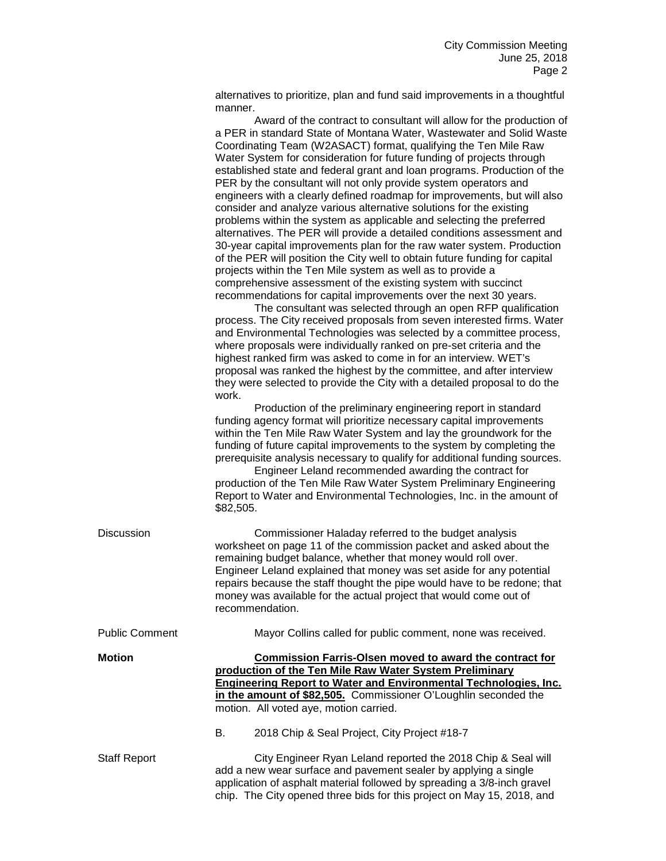alternatives to prioritize, plan and fund said improvements in a thoughtful manner.

Award of the contract to consultant will allow for the production of a PER in standard State of Montana Water, Wastewater and Solid Waste Coordinating Team (W2ASACT) format, qualifying the Ten Mile Raw Water System for consideration for future funding of projects through established state and federal grant and loan programs. Production of the PER by the consultant will not only provide system operators and engineers with a clearly defined roadmap for improvements, but will also consider and analyze various alternative solutions for the existing problems within the system as applicable and selecting the preferred alternatives. The PER will provide a detailed conditions assessment and 30-year capital improvements plan for the raw water system. Production of the PER will position the City well to obtain future funding for capital projects within the Ten Mile system as well as to provide a comprehensive assessment of the existing system with succinct recommendations for capital improvements over the next 30 years.

The consultant was selected through an open RFP qualification process. The City received proposals from seven interested firms. Water and Environmental Technologies was selected by a committee process, where proposals were individually ranked on pre-set criteria and the highest ranked firm was asked to come in for an interview. WET's proposal was ranked the highest by the committee, and after interview they were selected to provide the City with a detailed proposal to do the work.

Production of the preliminary engineering report in standard funding agency format will prioritize necessary capital improvements within the Ten Mile Raw Water System and lay the groundwork for the funding of future capital improvements to the system by completing the prerequisite analysis necessary to qualify for additional funding sources.

Engineer Leland recommended awarding the contract for production of the Ten Mile Raw Water System Preliminary Engineering Report to Water and Environmental Technologies, Inc. in the amount of \$82,505.

| <b>Discussion</b>     | Commissioner Haladay referred to the budget analysis<br>worksheet on page 11 of the commission packet and asked about the<br>remaining budget balance, whether that money would roll over.<br>Engineer Leland explained that money was set aside for any potential<br>repairs because the staff thought the pipe would have to be redone; that<br>money was available for the actual project that would come out of<br>recommendation. |
|-----------------------|----------------------------------------------------------------------------------------------------------------------------------------------------------------------------------------------------------------------------------------------------------------------------------------------------------------------------------------------------------------------------------------------------------------------------------------|
| <b>Public Comment</b> | Mayor Collins called for public comment, none was received.                                                                                                                                                                                                                                                                                                                                                                            |
| <b>Motion</b>         | <b>Commission Farris-Olsen moved to award the contract for</b><br>production of the Ten Mile Raw Water System Preliminary<br><b>Engineering Report to Water and Environmental Technologies, Inc.</b><br>in the amount of \$82,505. Commissioner O'Loughlin seconded the<br>motion. All voted aye, motion carried.<br>В.<br>2018 Chip & Seal Project, City Project #18-7                                                                |
| <b>Staff Report</b>   | City Engineer Ryan Leland reported the 2018 Chip & Seal will<br>add a new wear surface and pavement sealer by applying a single<br>application of asphalt material followed by spreading a 3/8-inch gravel<br>chip. The City opened three bids for this project on May 15, 2018, and                                                                                                                                                   |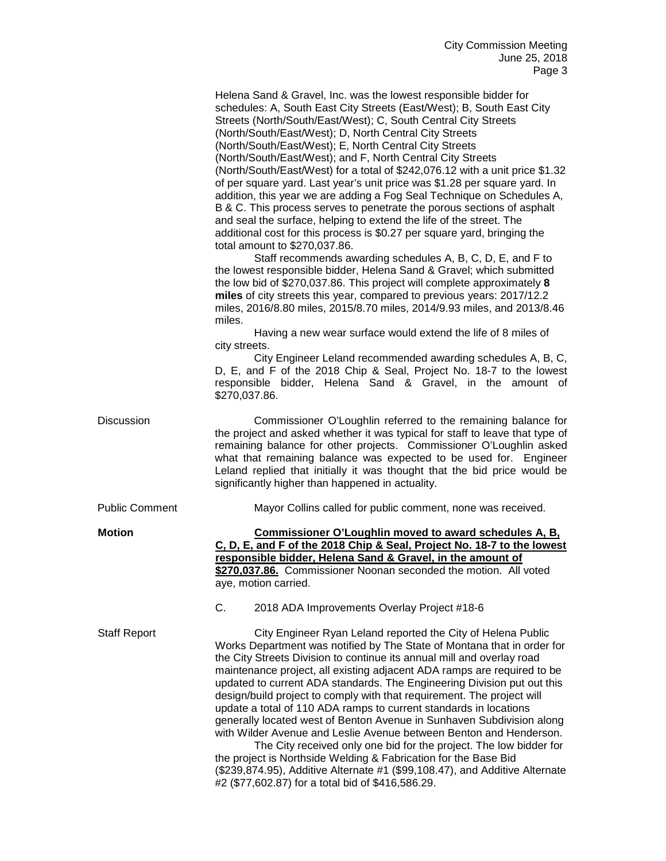Helena Sand & Gravel, Inc. was the lowest responsible bidder for schedules: A, South East City Streets (East/West); B, South East City Streets (North/South/East/West); C, South Central City Streets (North/South/East/West); D, North Central City Streets (North/South/East/West); E, North Central City Streets (North/South/East/West); and F, North Central City Streets (North/South/East/West) for a total of \$242,076.12 with a unit price \$1.32 of per square yard. Last year's unit price was \$1.28 per square yard. In addition, this year we are adding a Fog Seal Technique on Schedules A, B & C. This process serves to penetrate the porous sections of asphalt and seal the surface, helping to extend the life of the street. The additional cost for this process is \$0.27 per square yard, bringing the total amount to \$270,037.86. Staff recommends awarding schedules A, B, C, D, E, and F to the lowest responsible bidder, Helena Sand & Gravel; which submitted

the low bid of \$270,037.86. This project will complete approximately **8 miles** of city streets this year, compared to previous years: 2017/12.2 miles, 2016/8.80 miles, 2015/8.70 miles, 2014/9.93 miles, and 2013/8.46 miles.

Having a new wear surface would extend the life of 8 miles of city streets.

City Engineer Leland recommended awarding schedules A, B, C, D, E, and F of the 2018 Chip & Seal, Project No. 18-7 to the lowest responsible bidder, Helena Sand & Gravel, in the amount of \$270,037.86.

| Discussion | Commissioner O'Loughlin referred to the remaining balance for<br>the project and asked whether it was typical for staff to leave that type of |
|------------|-----------------------------------------------------------------------------------------------------------------------------------------------|
|            | remaining balance for other projects. Commissioner O'Loughlin asked<br>what that remaining balance was expected to be used for. Engineer      |
|            | Leland replied that initially it was thought that the bid price would be<br>significantly higher than happened in actuality.                  |
|            |                                                                                                                                               |

Public Comment Mayor Collins called for public comment, none was received.

**Motion Commissioner O'Loughlin moved to award schedules A, B, C, D, E, and F of the 2018 Chip & Seal, Project No. 18-7 to the lowest responsible bidder, Helena Sand & Gravel, in the amount of \$270,037.86.** Commissioner Noonan seconded the motion. All voted aye, motion carried.

C. 2018 ADA Improvements Overlay Project #18-6

Staff Report City Engineer Ryan Leland reported the City of Helena Public Works Department was notified by The State of Montana that in order for the City Streets Division to continue its annual mill and overlay road maintenance project, all existing adjacent ADA ramps are required to be updated to current ADA standards. The Engineering Division put out this design/build project to comply with that requirement. The project will update a total of 110 ADA ramps to current standards in locations generally located west of Benton Avenue in Sunhaven Subdivision along with Wilder Avenue and Leslie Avenue between Benton and Henderson.

The City received only one bid for the project. The low bidder for the project is Northside Welding & Fabrication for the Base Bid (\$239,874.95), Additive Alternate #1 (\$99,108.47), and Additive Alternate #2 (\$77,602.87) for a total bid of \$416,586.29.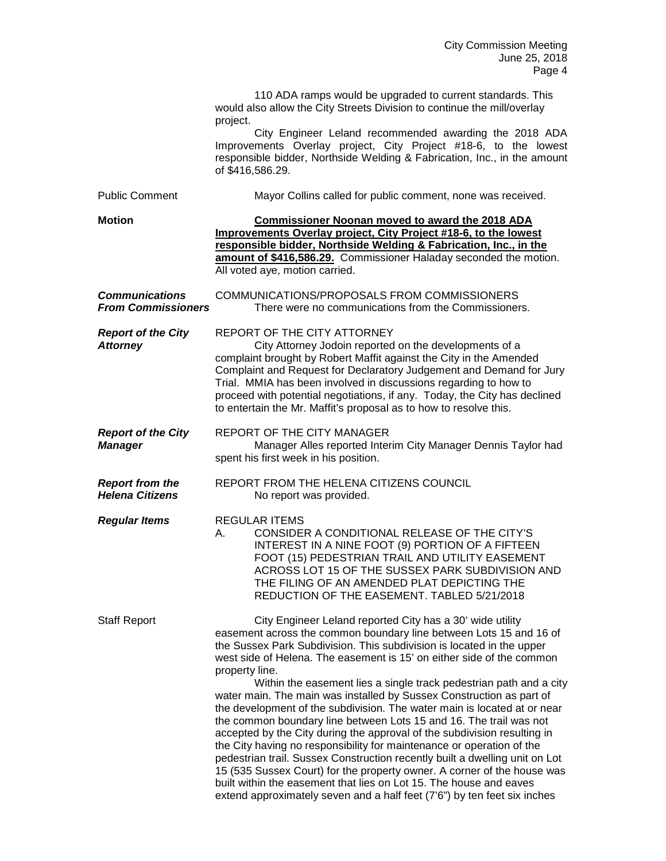|                                                    | 110 ADA ramps would be upgraded to current standards. This<br>would also allow the City Streets Division to continue the mill/overlay<br>project.<br>City Engineer Leland recommended awarding the 2018 ADA<br>Improvements Overlay project, City Project #18-6, to the lowest<br>responsible bidder, Northside Welding & Fabrication, Inc., in the amount<br>of \$416,586.29.                                                                                                                                                                                                                                                                                                                                                                                                                                                                                                                                                                                                           |
|----------------------------------------------------|------------------------------------------------------------------------------------------------------------------------------------------------------------------------------------------------------------------------------------------------------------------------------------------------------------------------------------------------------------------------------------------------------------------------------------------------------------------------------------------------------------------------------------------------------------------------------------------------------------------------------------------------------------------------------------------------------------------------------------------------------------------------------------------------------------------------------------------------------------------------------------------------------------------------------------------------------------------------------------------|
| <b>Public Comment</b>                              | Mayor Collins called for public comment, none was received.                                                                                                                                                                                                                                                                                                                                                                                                                                                                                                                                                                                                                                                                                                                                                                                                                                                                                                                              |
| <b>Motion</b>                                      | <b>Commissioner Noonan moved to award the 2018 ADA</b><br>Improvements Overlay project, City Project #18-6, to the lowest<br>responsible bidder, Northside Welding & Fabrication, Inc., in the<br>amount of \$416,586.29. Commissioner Haladay seconded the motion.<br>All voted aye, motion carried.                                                                                                                                                                                                                                                                                                                                                                                                                                                                                                                                                                                                                                                                                    |
| <b>Communications</b><br><b>From Commissioners</b> | COMMUNICATIONS/PROPOSALS FROM COMMISSIONERS<br>There were no communications from the Commissioners.                                                                                                                                                                                                                                                                                                                                                                                                                                                                                                                                                                                                                                                                                                                                                                                                                                                                                      |
| <b>Report of the City</b><br><b>Attorney</b>       | REPORT OF THE CITY ATTORNEY<br>City Attorney Jodoin reported on the developments of a<br>complaint brought by Robert Maffit against the City in the Amended<br>Complaint and Request for Declaratory Judgement and Demand for Jury<br>Trial. MMIA has been involved in discussions regarding to how to<br>proceed with potential negotiations, if any. Today, the City has declined<br>to entertain the Mr. Maffit's proposal as to how to resolve this.                                                                                                                                                                                                                                                                                                                                                                                                                                                                                                                                 |
| <b>Report of the City</b><br><b>Manager</b>        | REPORT OF THE CITY MANAGER<br>Manager Alles reported Interim City Manager Dennis Taylor had<br>spent his first week in his position.                                                                                                                                                                                                                                                                                                                                                                                                                                                                                                                                                                                                                                                                                                                                                                                                                                                     |
| <b>Report from the</b><br><b>Helena Citizens</b>   | REPORT FROM THE HELENA CITIZENS COUNCIL<br>No report was provided.                                                                                                                                                                                                                                                                                                                                                                                                                                                                                                                                                                                                                                                                                                                                                                                                                                                                                                                       |
| <b>Regular Items</b>                               | <b>REGULAR ITEMS</b><br>CONSIDER A CONDITIONAL RELEASE OF THE CITY'S<br>А.<br>INTEREST IN A NINE FOOT (9) PORTION OF A FIFTEEN<br>FOOT (15) PEDESTRIAN TRAIL AND UTILITY EASEMENT<br>ACROSS LOT 15 OF THE SUSSEX PARK SUBDIVISION AND<br>THE FILING OF AN AMENDED PLAT DEPICTING THE<br>REDUCTION OF THE EASEMENT. TABLED 5/21/2018                                                                                                                                                                                                                                                                                                                                                                                                                                                                                                                                                                                                                                                      |
| <b>Staff Report</b>                                | City Engineer Leland reported City has a 30' wide utility<br>easement across the common boundary line between Lots 15 and 16 of<br>the Sussex Park Subdivision. This subdivision is located in the upper<br>west side of Helena. The easement is 15' on either side of the common<br>property line.<br>Within the easement lies a single track pedestrian path and a city<br>water main. The main was installed by Sussex Construction as part of<br>the development of the subdivision. The water main is located at or near<br>the common boundary line between Lots 15 and 16. The trail was not<br>accepted by the City during the approval of the subdivision resulting in<br>the City having no responsibility for maintenance or operation of the<br>pedestrian trail. Sussex Construction recently built a dwelling unit on Lot<br>15 (535 Sussex Court) for the property owner. A corner of the house was<br>built within the easement that lies on Lot 15. The house and eaves |

extend approximately seven and a half feet (7'6") by ten feet six inches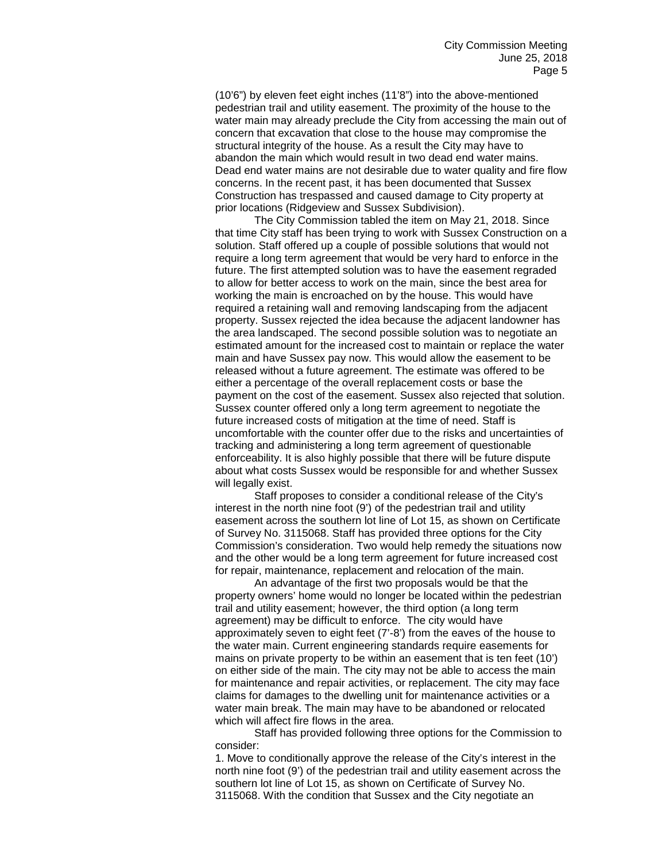(10'6") by eleven feet eight inches (11'8") into the above-mentioned pedestrian trail and utility easement. The proximity of the house to the water main may already preclude the City from accessing the main out of concern that excavation that close to the house may compromise the structural integrity of the house. As a result the City may have to abandon the main which would result in two dead end water mains. Dead end water mains are not desirable due to water quality and fire flow concerns. In the recent past, it has been documented that Sussex Construction has trespassed and caused damage to City property at prior locations (Ridgeview and Sussex Subdivision).

The City Commission tabled the item on May 21, 2018. Since that time City staff has been trying to work with Sussex Construction on a solution. Staff offered up a couple of possible solutions that would not require a long term agreement that would be very hard to enforce in the future. The first attempted solution was to have the easement regraded to allow for better access to work on the main, since the best area for working the main is encroached on by the house. This would have required a retaining wall and removing landscaping from the adjacent property. Sussex rejected the idea because the adjacent landowner has the area landscaped. The second possible solution was to negotiate an estimated amount for the increased cost to maintain or replace the water main and have Sussex pay now. This would allow the easement to be released without a future agreement. The estimate was offered to be either a percentage of the overall replacement costs or base the payment on the cost of the easement. Sussex also rejected that solution. Sussex counter offered only a long term agreement to negotiate the future increased costs of mitigation at the time of need. Staff is uncomfortable with the counter offer due to the risks and uncertainties of tracking and administering a long term agreement of questionable enforceability. It is also highly possible that there will be future dispute about what costs Sussex would be responsible for and whether Sussex will legally exist.

Staff proposes to consider a conditional release of the City's interest in the north nine foot (9') of the pedestrian trail and utility easement across the southern lot line of Lot 15, as shown on Certificate of Survey No. 3115068. Staff has provided three options for the City Commission's consideration. Two would help remedy the situations now and the other would be a long term agreement for future increased cost for repair, maintenance, replacement and relocation of the main.

An advantage of the first two proposals would be that the property owners' home would no longer be located within the pedestrian trail and utility easement; however, the third option (a long term agreement) may be difficult to enforce. The city would have approximately seven to eight feet (7'-8') from the eaves of the house to the water main. Current engineering standards require easements for mains on private property to be within an easement that is ten feet (10') on either side of the main. The city may not be able to access the main for maintenance and repair activities, or replacement. The city may face claims for damages to the dwelling unit for maintenance activities or a water main break. The main may have to be abandoned or relocated which will affect fire flows in the area.

Staff has provided following three options for the Commission to consider:

1. Move to conditionally approve the release of the City's interest in the north nine foot (9') of the pedestrian trail and utility easement across the southern lot line of Lot 15, as shown on Certificate of Survey No. 3115068. With the condition that Sussex and the City negotiate an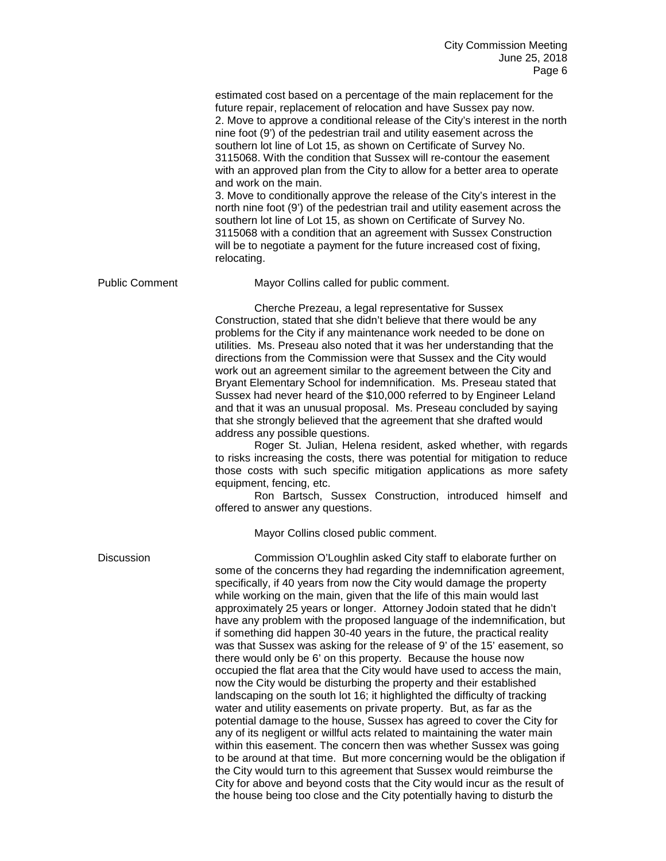|                       | estimated cost based on a percentage of the main replacement for the<br>future repair, replacement of relocation and have Sussex pay now.<br>2. Move to approve a conditional release of the City's interest in the north<br>nine foot (9') of the pedestrian trail and utility easement across the<br>southern lot line of Lot 15, as shown on Certificate of Survey No.<br>3115068. With the condition that Sussex will re-contour the easement<br>with an approved plan from the City to allow for a better area to operate<br>and work on the main.<br>3. Move to conditionally approve the release of the City's interest in the<br>north nine foot (9') of the pedestrian trail and utility easement across the<br>southern lot line of Lot 15, as shown on Certificate of Survey No.<br>3115068 with a condition that an agreement with Sussex Construction<br>will be to negotiate a payment for the future increased cost of fixing,<br>relocating.                                                                                                                                                                                                                                                                                                                                                                                                                                                                                                                                                                       |
|-----------------------|------------------------------------------------------------------------------------------------------------------------------------------------------------------------------------------------------------------------------------------------------------------------------------------------------------------------------------------------------------------------------------------------------------------------------------------------------------------------------------------------------------------------------------------------------------------------------------------------------------------------------------------------------------------------------------------------------------------------------------------------------------------------------------------------------------------------------------------------------------------------------------------------------------------------------------------------------------------------------------------------------------------------------------------------------------------------------------------------------------------------------------------------------------------------------------------------------------------------------------------------------------------------------------------------------------------------------------------------------------------------------------------------------------------------------------------------------------------------------------------------------------------------------------|
| <b>Public Comment</b> | Mayor Collins called for public comment.                                                                                                                                                                                                                                                                                                                                                                                                                                                                                                                                                                                                                                                                                                                                                                                                                                                                                                                                                                                                                                                                                                                                                                                                                                                                                                                                                                                                                                                                                           |
|                       | Cherche Prezeau, a legal representative for Sussex<br>Construction, stated that she didn't believe that there would be any<br>problems for the City if any maintenance work needed to be done on<br>utilities. Ms. Preseau also noted that it was her understanding that the<br>directions from the Commission were that Sussex and the City would<br>work out an agreement similar to the agreement between the City and<br>Bryant Elementary School for indemnification. Ms. Preseau stated that<br>Sussex had never heard of the \$10,000 referred to by Engineer Leland<br>and that it was an unusual proposal. Ms. Preseau concluded by saying<br>that she strongly believed that the agreement that she drafted would<br>address any possible questions.<br>Roger St. Julian, Helena resident, asked whether, with regards<br>to risks increasing the costs, there was potential for mitigation to reduce<br>those costs with such specific mitigation applications as more safety<br>equipment, fencing, etc.<br>Ron Bartsch, Sussex Construction, introduced himself and<br>offered to answer any questions.<br>Mayor Collins closed public comment.                                                                                                                                                                                                                                                                                                                                                                       |
| <b>Discussion</b>     | Commission O'Loughlin asked City staff to elaborate further on<br>some of the concerns they had regarding the indemnification agreement,<br>specifically, if 40 years from now the City would damage the property<br>while working on the main, given that the life of this main would last<br>approximately 25 years or longer. Attorney Jodoin stated that he didn't<br>have any problem with the proposed language of the indemnification, but<br>if something did happen 30-40 years in the future, the practical reality<br>was that Sussex was asking for the release of 9' of the 15' easement, so<br>there would only be 6' on this property. Because the house now<br>occupied the flat area that the City would have used to access the main,<br>now the City would be disturbing the property and their established<br>landscaping on the south lot 16; it highlighted the difficulty of tracking<br>water and utility easements on private property. But, as far as the<br>potential damage to the house, Sussex has agreed to cover the City for<br>any of its negligent or willful acts related to maintaining the water main<br>within this easement. The concern then was whether Sussex was going<br>to be around at that time. But more concerning would be the obligation if<br>the City would turn to this agreement that Sussex would reimburse the<br>City for above and beyond costs that the City would incur as the result of<br>the house being too close and the City potentially having to disturb the |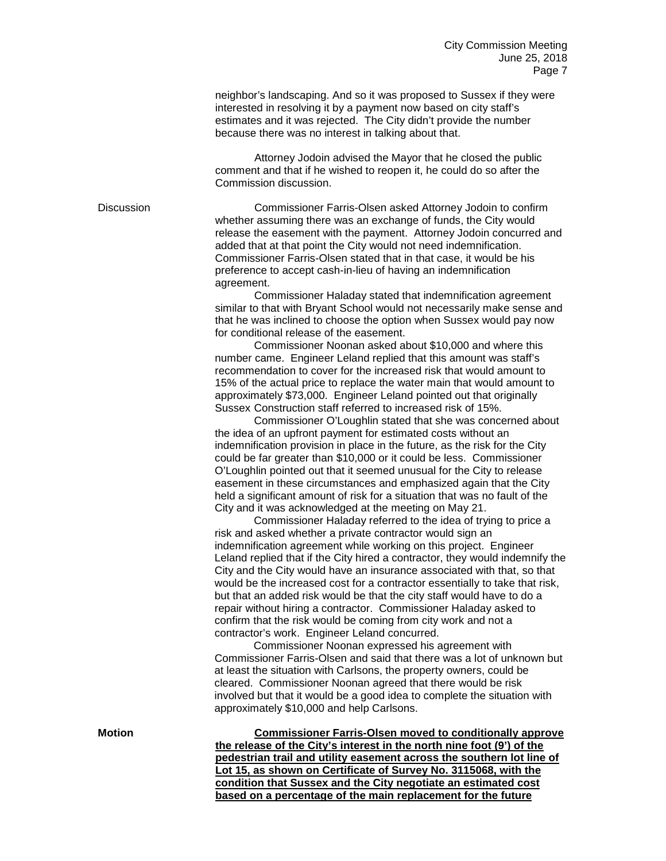neighbor's landscaping. And so it was proposed to Sussex if they were interested in resolving it by a payment now based on city staff's estimates and it was rejected. The City didn't provide the number because there was no interest in talking about that.

Attorney Jodoin advised the Mayor that he closed the public comment and that if he wished to reopen it, he could do so after the Commission discussion.

Discussion Commissioner Farris-Olsen asked Attorney Jodoin to confirm whether assuming there was an exchange of funds, the City would release the easement with the payment. Attorney Jodoin concurred and added that at that point the City would not need indemnification. Commissioner Farris-Olsen stated that in that case, it would be his preference to accept cash-in-lieu of having an indemnification agreement.

> Commissioner Haladay stated that indemnification agreement similar to that with Bryant School would not necessarily make sense and that he was inclined to choose the option when Sussex would pay now for conditional release of the easement.

Commissioner Noonan asked about \$10,000 and where this number came. Engineer Leland replied that this amount was staff's recommendation to cover for the increased risk that would amount to 15% of the actual price to replace the water main that would amount to approximately \$73,000. Engineer Leland pointed out that originally Sussex Construction staff referred to increased risk of 15%.

Commissioner O'Loughlin stated that she was concerned about the idea of an upfront payment for estimated costs without an indemnification provision in place in the future, as the risk for the City could be far greater than \$10,000 or it could be less. Commissioner O'Loughlin pointed out that it seemed unusual for the City to release easement in these circumstances and emphasized again that the City held a significant amount of risk for a situation that was no fault of the City and it was acknowledged at the meeting on May 21.

Commissioner Haladay referred to the idea of trying to price a risk and asked whether a private contractor would sign an indemnification agreement while working on this project. Engineer Leland replied that if the City hired a contractor, they would indemnify the City and the City would have an insurance associated with that, so that would be the increased cost for a contractor essentially to take that risk, but that an added risk would be that the city staff would have to do a repair without hiring a contractor. Commissioner Haladay asked to confirm that the risk would be coming from city work and not a contractor's work. Engineer Leland concurred.

Commissioner Noonan expressed his agreement with Commissioner Farris-Olsen and said that there was a lot of unknown but at least the situation with Carlsons, the property owners, could be cleared. Commissioner Noonan agreed that there would be risk involved but that it would be a good idea to complete the situation with approximately \$10,000 and help Carlsons.

**Motion Commissioner Farris-Olsen moved to conditionally approve the release of the City's interest in the north nine foot (9') of the pedestrian trail and utility easement across the southern lot line of Lot 15, as shown on Certificate of Survey No. 3115068, with the condition that Sussex and the City negotiate an estimated cost based on a percentage of the main replacement for the future**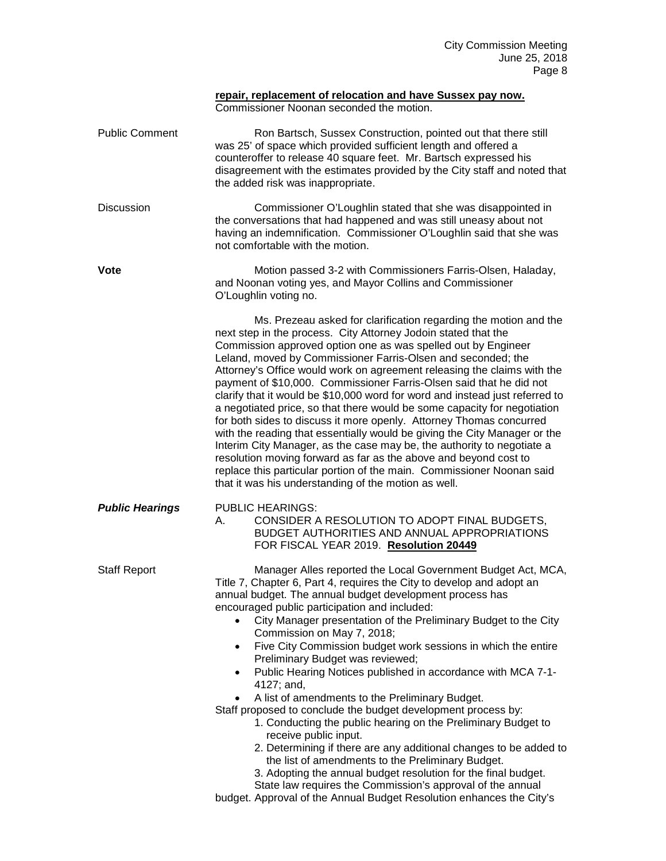|                        | repair, replacement of relocation and have Sussex pay now.<br>Commissioner Noonan seconded the motion.                                                                                                                                                                                                                                                                                                                                                                                                                                                                                                                                                                                                                                                                                                                                                                                                                                                                                                                                                                                                                                     |
|------------------------|--------------------------------------------------------------------------------------------------------------------------------------------------------------------------------------------------------------------------------------------------------------------------------------------------------------------------------------------------------------------------------------------------------------------------------------------------------------------------------------------------------------------------------------------------------------------------------------------------------------------------------------------------------------------------------------------------------------------------------------------------------------------------------------------------------------------------------------------------------------------------------------------------------------------------------------------------------------------------------------------------------------------------------------------------------------------------------------------------------------------------------------------|
| <b>Public Comment</b>  | Ron Bartsch, Sussex Construction, pointed out that there still<br>was 25' of space which provided sufficient length and offered a<br>counteroffer to release 40 square feet. Mr. Bartsch expressed his<br>disagreement with the estimates provided by the City staff and noted that<br>the added risk was inappropriate.                                                                                                                                                                                                                                                                                                                                                                                                                                                                                                                                                                                                                                                                                                                                                                                                                   |
| <b>Discussion</b>      | Commissioner O'Loughlin stated that she was disappointed in<br>the conversations that had happened and was still uneasy about not<br>having an indemnification. Commissioner O'Loughlin said that she was<br>not comfortable with the motion.                                                                                                                                                                                                                                                                                                                                                                                                                                                                                                                                                                                                                                                                                                                                                                                                                                                                                              |
| <b>Vote</b>            | Motion passed 3-2 with Commissioners Farris-Olsen, Haladay,<br>and Noonan voting yes, and Mayor Collins and Commissioner<br>O'Loughlin voting no.                                                                                                                                                                                                                                                                                                                                                                                                                                                                                                                                                                                                                                                                                                                                                                                                                                                                                                                                                                                          |
|                        | Ms. Prezeau asked for clarification regarding the motion and the<br>next step in the process. City Attorney Jodoin stated that the<br>Commission approved option one as was spelled out by Engineer<br>Leland, moved by Commissioner Farris-Olsen and seconded; the<br>Attorney's Office would work on agreement releasing the claims with the<br>payment of \$10,000. Commissioner Farris-Olsen said that he did not<br>clarify that it would be \$10,000 word for word and instead just referred to<br>a negotiated price, so that there would be some capacity for negotiation<br>for both sides to discuss it more openly. Attorney Thomas concurred<br>with the reading that essentially would be giving the City Manager or the<br>Interim City Manager, as the case may be, the authority to negotiate a<br>resolution moving forward as far as the above and beyond cost to<br>replace this particular portion of the main. Commissioner Noonan said<br>that it was his understanding of the motion as well.                                                                                                                       |
| <b>Public Hearings</b> | <b>PUBLIC HEARINGS:</b><br>CONSIDER A RESOLUTION TO ADOPT FINAL BUDGETS,<br>А.<br>BUDGET AUTHORITIES AND ANNUAL APPROPRIATIONS<br>FOR FISCAL YEAR 2019. Resolution 20449                                                                                                                                                                                                                                                                                                                                                                                                                                                                                                                                                                                                                                                                                                                                                                                                                                                                                                                                                                   |
| <b>Staff Report</b>    | Manager Alles reported the Local Government Budget Act, MCA,<br>Title 7, Chapter 6, Part 4, requires the City to develop and adopt an<br>annual budget. The annual budget development process has<br>encouraged public participation and included:<br>City Manager presentation of the Preliminary Budget to the City<br>$\bullet$<br>Commission on May 7, 2018;<br>Five City Commission budget work sessions in which the entire<br>$\bullet$<br>Preliminary Budget was reviewed;<br>Public Hearing Notices published in accordance with MCA 7-1-<br>$\bullet$<br>4127; and,<br>A list of amendments to the Preliminary Budget.<br>$\bullet$<br>Staff proposed to conclude the budget development process by:<br>1. Conducting the public hearing on the Preliminary Budget to<br>receive public input.<br>2. Determining if there are any additional changes to be added to<br>the list of amendments to the Preliminary Budget.<br>3. Adopting the annual budget resolution for the final budget.<br>State law requires the Commission's approval of the annual<br>budget. Approval of the Annual Budget Resolution enhances the City's |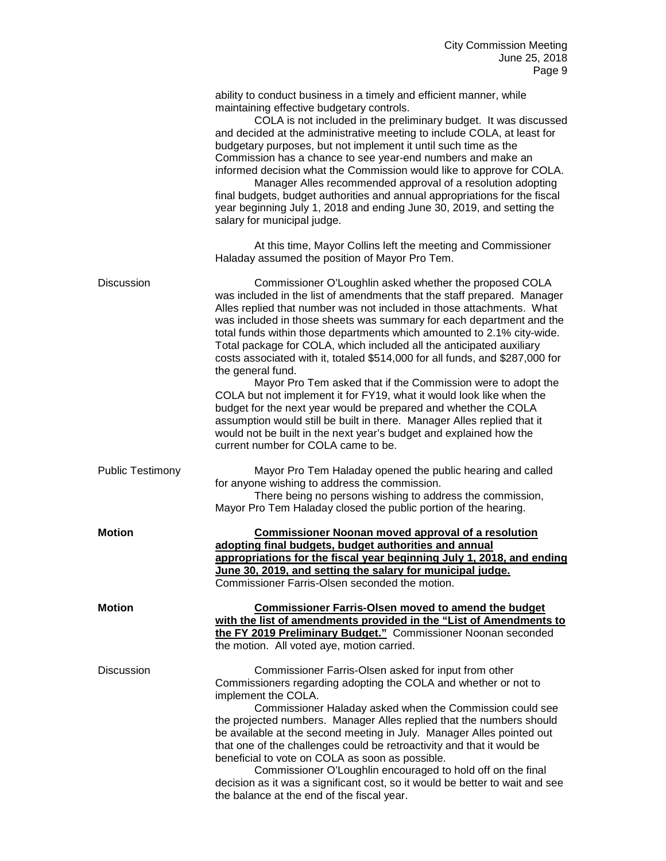|                         | ability to conduct business in a timely and efficient manner, while<br>maintaining effective budgetary controls.<br>COLA is not included in the preliminary budget. It was discussed<br>and decided at the administrative meeting to include COLA, at least for<br>budgetary purposes, but not implement it until such time as the<br>Commission has a chance to see year-end numbers and make an<br>informed decision what the Commission would like to approve for COLA.<br>Manager Alles recommended approval of a resolution adopting<br>final budgets, budget authorities and annual appropriations for the fiscal<br>year beginning July 1, 2018 and ending June 30, 2019, and setting the<br>salary for municipal judge.                                                                                                                                                                        |
|-------------------------|--------------------------------------------------------------------------------------------------------------------------------------------------------------------------------------------------------------------------------------------------------------------------------------------------------------------------------------------------------------------------------------------------------------------------------------------------------------------------------------------------------------------------------------------------------------------------------------------------------------------------------------------------------------------------------------------------------------------------------------------------------------------------------------------------------------------------------------------------------------------------------------------------------|
|                         | At this time, Mayor Collins left the meeting and Commissioner<br>Haladay assumed the position of Mayor Pro Tem.                                                                                                                                                                                                                                                                                                                                                                                                                                                                                                                                                                                                                                                                                                                                                                                        |
| <b>Discussion</b>       | Commissioner O'Loughlin asked whether the proposed COLA<br>was included in the list of amendments that the staff prepared. Manager<br>Alles replied that number was not included in those attachments. What<br>was included in those sheets was summary for each department and the<br>total funds within those departments which amounted to 2.1% city-wide.<br>Total package for COLA, which included all the anticipated auxiliary<br>costs associated with it, totaled \$514,000 for all funds, and \$287,000 for<br>the general fund.<br>Mayor Pro Tem asked that if the Commission were to adopt the<br>COLA but not implement it for FY19, what it would look like when the<br>budget for the next year would be prepared and whether the COLA<br>assumption would still be built in there. Manager Alles replied that it<br>would not be built in the next year's budget and explained how the |
|                         | current number for COLA came to be.                                                                                                                                                                                                                                                                                                                                                                                                                                                                                                                                                                                                                                                                                                                                                                                                                                                                    |
| <b>Public Testimony</b> | Mayor Pro Tem Haladay opened the public hearing and called<br>for anyone wishing to address the commission.<br>There being no persons wishing to address the commission,<br>Mayor Pro Tem Haladay closed the public portion of the hearing.                                                                                                                                                                                                                                                                                                                                                                                                                                                                                                                                                                                                                                                            |
| <b>Motion</b>           | <b>Commissioner Noonan moved approval of a resolution</b><br>adopting final budgets, budget authorities and annual                                                                                                                                                                                                                                                                                                                                                                                                                                                                                                                                                                                                                                                                                                                                                                                     |
|                         | appropriations for the fiscal year beginning July 1, 2018, and ending<br>June 30, 2019, and setting the salary for municipal judge.<br>Commissioner Farris-Olsen seconded the motion.                                                                                                                                                                                                                                                                                                                                                                                                                                                                                                                                                                                                                                                                                                                  |
| <b>Motion</b>           | <b>Commissioner Farris-Olsen moved to amend the budget</b><br>with the list of amendments provided in the "List of Amendments to<br>the FY 2019 Preliminary Budget." Commissioner Noonan seconded<br>the motion. All voted aye, motion carried.                                                                                                                                                                                                                                                                                                                                                                                                                                                                                                                                                                                                                                                        |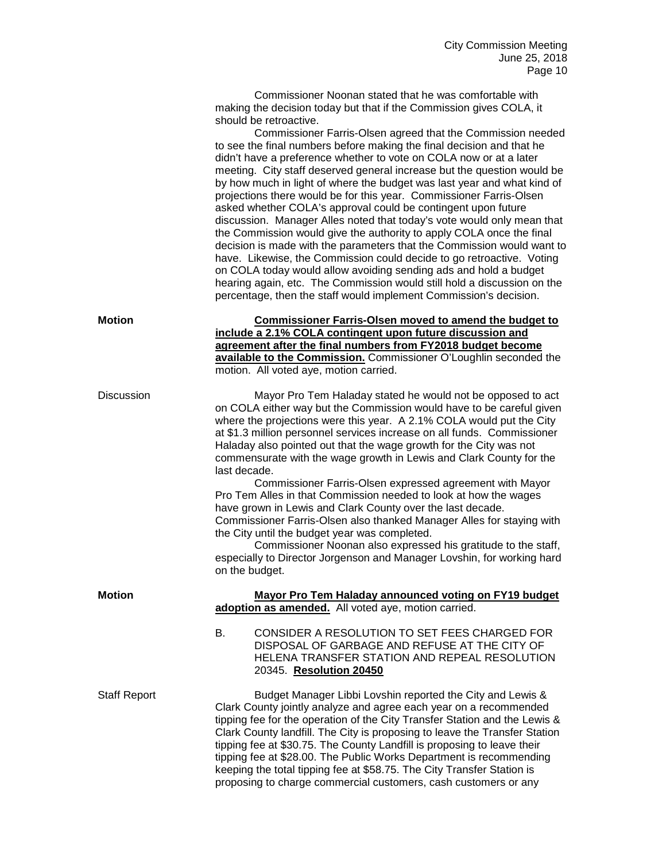Commissioner Noonan stated that he was comfortable with making the decision today but that if the Commission gives COLA, it should be retroactive.

Commissioner Farris-Olsen agreed that the Commission needed to see the final numbers before making the final decision and that he didn't have a preference whether to vote on COLA now or at a later meeting. City staff deserved general increase but the question would be by how much in light of where the budget was last year and what kind of projections there would be for this year. Commissioner Farris-Olsen asked whether COLA's approval could be contingent upon future discussion. Manager Alles noted that today's vote would only mean that the Commission would give the authority to apply COLA once the final decision is made with the parameters that the Commission would want to have. Likewise, the Commission could decide to go retroactive. Voting on COLA today would allow avoiding sending ads and hold a budget hearing again, etc. The Commission would still hold a discussion on the percentage, then the staff would implement Commission's decision.

| <b>Motion</b> | <b>Commissioner Farris-Olsen moved to amend the budget to</b>     |
|---------------|-------------------------------------------------------------------|
|               | include a 2.1% COLA contingent upon future discussion and         |
|               | agreement after the final numbers from FY2018 budget become       |
|               | available to the Commission. Commissioner O'Loughlin seconded the |
|               | motion. All voted aye, motion carried.                            |

Discussion Mayor Pro Tem Haladay stated he would not be opposed to act on COLA either way but the Commission would have to be careful given where the projections were this year. A 2.1% COLA would put the City at \$1.3 million personnel services increase on all funds. Commissioner Haladay also pointed out that the wage growth for the City was not commensurate with the wage growth in Lewis and Clark County for the last decade.

Commissioner Farris-Olsen expressed agreement with Mayor Pro Tem Alles in that Commission needed to look at how the wages have grown in Lewis and Clark County over the last decade. Commissioner Farris-Olsen also thanked Manager Alles for staying with the City until the budget year was completed.

Commissioner Noonan also expressed his gratitude to the staff, especially to Director Jorgenson and Manager Lovshin, for working hard on the budget.

keeping the total tipping fee at \$58.75. The City Transfer Station is proposing to charge commercial customers, cash customers or any

| <b>Motion</b>       | Mayor Pro Tem Haladay announced voting on FY19 budget<br>adoption as amended. All voted aye, motion carried.                                                                                                                                                                                                                                                                                                                                  |
|---------------------|-----------------------------------------------------------------------------------------------------------------------------------------------------------------------------------------------------------------------------------------------------------------------------------------------------------------------------------------------------------------------------------------------------------------------------------------------|
|                     | CONSIDER A RESOLUTION TO SET FEES CHARGED FOR<br>В.<br>DISPOSAL OF GARBAGE AND REFUSE AT THE CITY OF<br>HELENA TRANSFER STATION AND REPEAL RESOLUTION<br>20345. Resolution 20450                                                                                                                                                                                                                                                              |
| <b>Staff Report</b> | Budget Manager Libbi Lovshin reported the City and Lewis &<br>Clark County jointly analyze and agree each year on a recommended<br>tipping fee for the operation of the City Transfer Station and the Lewis &<br>Clark County landfill. The City is proposing to leave the Transfer Station<br>tipping fee at \$30.75. The County Landfill is proposing to leave their<br>tipping fee at \$28.00. The Public Works Department is recommending |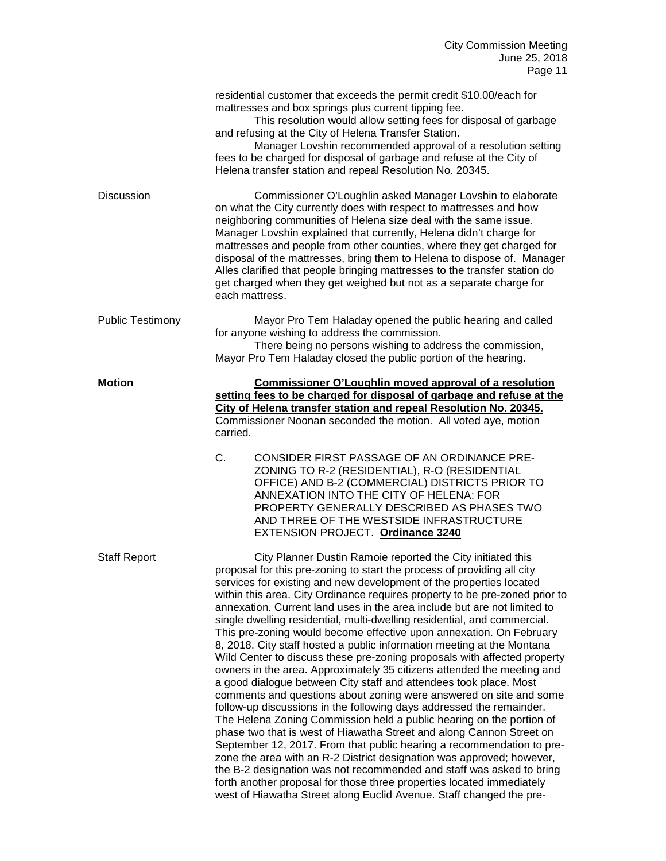|                         | residential customer that exceeds the permit credit \$10.00/each for<br>mattresses and box springs plus current tipping fee.<br>This resolution would allow setting fees for disposal of garbage<br>and refusing at the City of Helena Transfer Station.<br>Manager Lovshin recommended approval of a resolution setting<br>fees to be charged for disposal of garbage and refuse at the City of<br>Helena transfer station and repeal Resolution No. 20345.                                                                                                                                                                                                                                                                                                                                                                                                                                                                                                                                                                                                                                                                                                                                                                                                                                                                                                                                                                                                                                             |
|-------------------------|----------------------------------------------------------------------------------------------------------------------------------------------------------------------------------------------------------------------------------------------------------------------------------------------------------------------------------------------------------------------------------------------------------------------------------------------------------------------------------------------------------------------------------------------------------------------------------------------------------------------------------------------------------------------------------------------------------------------------------------------------------------------------------------------------------------------------------------------------------------------------------------------------------------------------------------------------------------------------------------------------------------------------------------------------------------------------------------------------------------------------------------------------------------------------------------------------------------------------------------------------------------------------------------------------------------------------------------------------------------------------------------------------------------------------------------------------------------------------------------------------------|
| <b>Discussion</b>       | Commissioner O'Loughlin asked Manager Lovshin to elaborate<br>on what the City currently does with respect to mattresses and how<br>neighboring communities of Helena size deal with the same issue.<br>Manager Lovshin explained that currently, Helena didn't charge for<br>mattresses and people from other counties, where they get charged for<br>disposal of the mattresses, bring them to Helena to dispose of. Manager<br>Alles clarified that people bringing mattresses to the transfer station do<br>get charged when they get weighed but not as a separate charge for<br>each mattress.                                                                                                                                                                                                                                                                                                                                                                                                                                                                                                                                                                                                                                                                                                                                                                                                                                                                                                     |
| <b>Public Testimony</b> | Mayor Pro Tem Haladay opened the public hearing and called<br>for anyone wishing to address the commission.<br>There being no persons wishing to address the commission,<br>Mayor Pro Tem Haladay closed the public portion of the hearing.                                                                                                                                                                                                                                                                                                                                                                                                                                                                                                                                                                                                                                                                                                                                                                                                                                                                                                                                                                                                                                                                                                                                                                                                                                                              |
| <b>Motion</b>           | <b>Commissioner O'Loughlin moved approval of a resolution</b><br>setting fees to be charged for disposal of garbage and refuse at the<br>City of Helena transfer station and repeal Resolution No. 20345.<br>Commissioner Noonan seconded the motion. All voted aye, motion<br>carried.                                                                                                                                                                                                                                                                                                                                                                                                                                                                                                                                                                                                                                                                                                                                                                                                                                                                                                                                                                                                                                                                                                                                                                                                                  |
|                         | C.<br>CONSIDER FIRST PASSAGE OF AN ORDINANCE PRE-<br>ZONING TO R-2 (RESIDENTIAL), R-O (RESIDENTIAL<br>OFFICE) AND B-2 (COMMERCIAL) DISTRICTS PRIOR TO<br>ANNEXATION INTO THE CITY OF HELENA: FOR<br>PROPERTY GENERALLY DESCRIBED AS PHASES TWO<br>AND THREE OF THE WESTSIDE INFRASTRUCTURE<br>EXTENSION PROJECT. Ordinance 3240                                                                                                                                                                                                                                                                                                                                                                                                                                                                                                                                                                                                                                                                                                                                                                                                                                                                                                                                                                                                                                                                                                                                                                          |
| <b>Staff Report</b>     | City Planner Dustin Ramoie reported the City initiated this<br>proposal for this pre-zoning to start the process of providing all city<br>services for existing and new development of the properties located<br>within this area. City Ordinance requires property to be pre-zoned prior to<br>annexation. Current land uses in the area include but are not limited to<br>single dwelling residential, multi-dwelling residential, and commercial.<br>This pre-zoning would become effective upon annexation. On February<br>8, 2018, City staff hosted a public information meeting at the Montana<br>Wild Center to discuss these pre-zoning proposals with affected property<br>owners in the area. Approximately 35 citizens attended the meeting and<br>a good dialogue between City staff and attendees took place. Most<br>comments and questions about zoning were answered on site and some<br>follow-up discussions in the following days addressed the remainder.<br>The Helena Zoning Commission held a public hearing on the portion of<br>phase two that is west of Hiawatha Street and along Cannon Street on<br>September 12, 2017. From that public hearing a recommendation to pre-<br>zone the area with an R-2 District designation was approved; however,<br>the B-2 designation was not recommended and staff was asked to bring<br>forth another proposal for those three properties located immediately<br>west of Hiawatha Street along Euclid Avenue. Staff changed the pre- |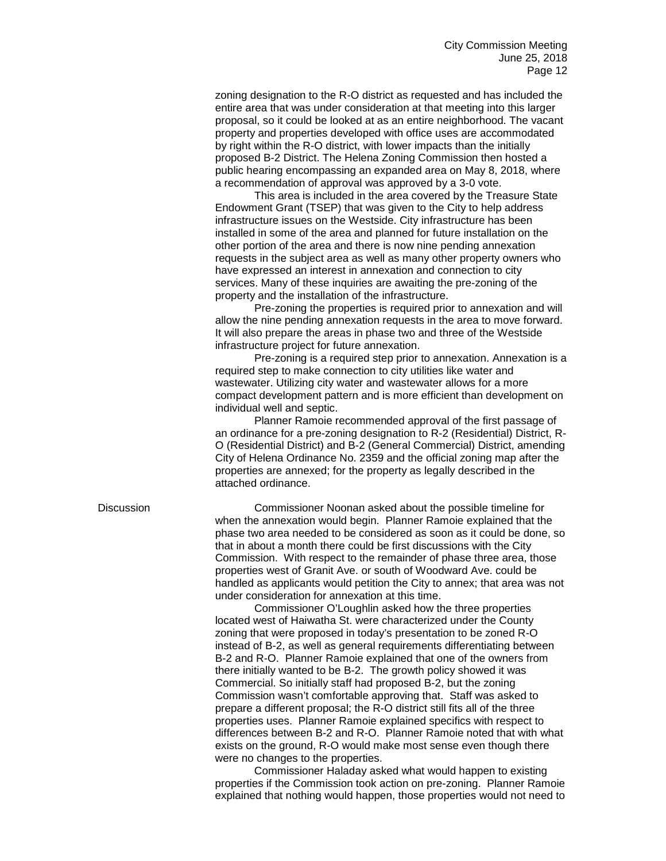zoning designation to the R-O district as requested and has included the entire area that was under consideration at that meeting into this larger proposal, so it could be looked at as an entire neighborhood. The vacant property and properties developed with office uses are accommodated by right within the R-O district, with lower impacts than the initially proposed B-2 District. The Helena Zoning Commission then hosted a public hearing encompassing an expanded area on May 8, 2018, where a recommendation of approval was approved by a 3-0 vote.

This area is included in the area covered by the Treasure State Endowment Grant (TSEP) that was given to the City to help address infrastructure issues on the Westside. City infrastructure has been installed in some of the area and planned for future installation on the other portion of the area and there is now nine pending annexation requests in the subject area as well as many other property owners who have expressed an interest in annexation and connection to city services. Many of these inquiries are awaiting the pre-zoning of the property and the installation of the infrastructure.

Pre-zoning the properties is required prior to annexation and will allow the nine pending annexation requests in the area to move forward. It will also prepare the areas in phase two and three of the Westside infrastructure project for future annexation.

Pre-zoning is a required step prior to annexation. Annexation is a required step to make connection to city utilities like water and wastewater. Utilizing city water and wastewater allows for a more compact development pattern and is more efficient than development on individual well and septic.

Planner Ramoie recommended approval of the first passage of an ordinance for a pre-zoning designation to R-2 (Residential) District, R-O (Residential District) and B-2 (General Commercial) District, amending City of Helena Ordinance No. 2359 and the official zoning map after the properties are annexed; for the property as legally described in the attached ordinance.

Discussion Commissioner Noonan asked about the possible timeline for when the annexation would begin. Planner Ramoie explained that the phase two area needed to be considered as soon as it could be done, so that in about a month there could be first discussions with the City Commission. With respect to the remainder of phase three area, those properties west of Granit Ave. or south of Woodward Ave. could be handled as applicants would petition the City to annex; that area was not under consideration for annexation at this time.

Commissioner O'Loughlin asked how the three properties located west of Haiwatha St. were characterized under the County zoning that were proposed in today's presentation to be zoned R-O instead of B-2, as well as general requirements differentiating between B-2 and R-O. Planner Ramoie explained that one of the owners from there initially wanted to be B-2. The growth policy showed it was Commercial. So initially staff had proposed B-2, but the zoning Commission wasn't comfortable approving that. Staff was asked to prepare a different proposal; the R-O district still fits all of the three properties uses. Planner Ramoie explained specifics with respect to differences between B-2 and R-O. Planner Ramoie noted that with what exists on the ground, R-O would make most sense even though there were no changes to the properties.

Commissioner Haladay asked what would happen to existing properties if the Commission took action on pre-zoning. Planner Ramoie explained that nothing would happen, those properties would not need to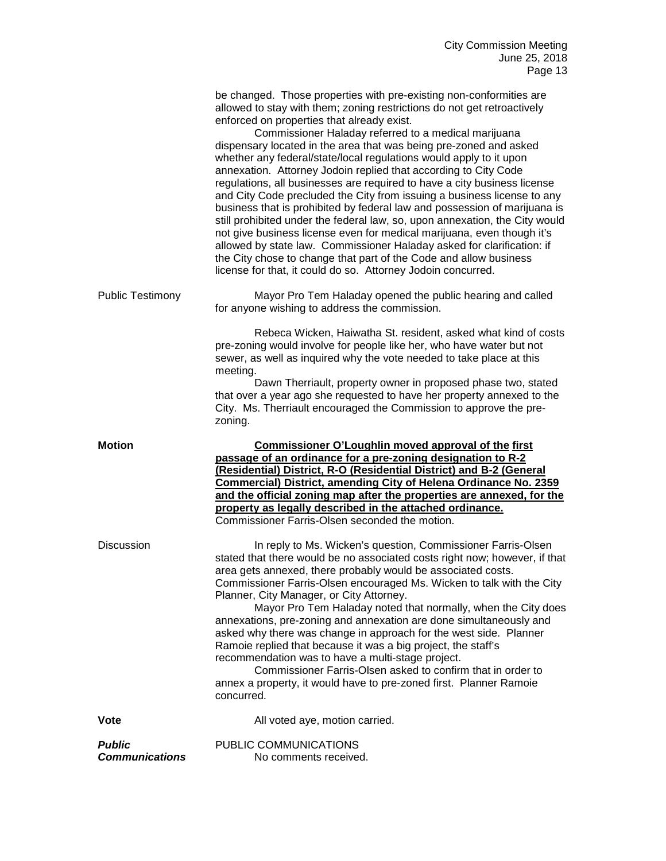|                         | be changed. Those properties with pre-existing non-conformities are<br>allowed to stay with them; zoning restrictions do not get retroactively<br>enforced on properties that already exist.<br>Commissioner Haladay referred to a medical marijuana<br>dispensary located in the area that was being pre-zoned and asked<br>whether any federal/state/local regulations would apply to it upon<br>annexation. Attorney Jodoin replied that according to City Code<br>regulations, all businesses are required to have a city business license<br>and City Code precluded the City from issuing a business license to any<br>business that is prohibited by federal law and possession of marijuana is<br>still prohibited under the federal law, so, upon annexation, the City would<br>not give business license even for medical marijuana, even though it's<br>allowed by state law. Commissioner Haladay asked for clarification: if<br>the City chose to change that part of the Code and allow business<br>license for that, it could do so. Attorney Jodoin concurred. |
|-------------------------|--------------------------------------------------------------------------------------------------------------------------------------------------------------------------------------------------------------------------------------------------------------------------------------------------------------------------------------------------------------------------------------------------------------------------------------------------------------------------------------------------------------------------------------------------------------------------------------------------------------------------------------------------------------------------------------------------------------------------------------------------------------------------------------------------------------------------------------------------------------------------------------------------------------------------------------------------------------------------------------------------------------------------------------------------------------------------------|
| <b>Public Testimony</b> | Mayor Pro Tem Haladay opened the public hearing and called<br>for anyone wishing to address the commission.                                                                                                                                                                                                                                                                                                                                                                                                                                                                                                                                                                                                                                                                                                                                                                                                                                                                                                                                                                    |
|                         | Rebeca Wicken, Haiwatha St. resident, asked what kind of costs<br>pre-zoning would involve for people like her, who have water but not<br>sewer, as well as inquired why the vote needed to take place at this<br>meeting.<br>Dawn Therriault, property owner in proposed phase two, stated<br>that over a year ago she requested to have her property annexed to the<br>City. Ms. Therriault encouraged the Commission to approve the pre-<br>zoning.                                                                                                                                                                                                                                                                                                                                                                                                                                                                                                                                                                                                                         |
| <b>Motion</b>           | Commissioner O'Loughlin moved approval of the first                                                                                                                                                                                                                                                                                                                                                                                                                                                                                                                                                                                                                                                                                                                                                                                                                                                                                                                                                                                                                            |
|                         | passage of an ordinance for a pre-zoning designation to R-2<br>(Residential) District, R-O (Residential District) and B-2 (General<br>Commercial) District, amending City of Helena Ordinance No. 2359<br>and the official zoning map after the properties are annexed, for the<br>property as legally described in the attached ordinance.<br>Commissioner Farris-Olsen seconded the motion.                                                                                                                                                                                                                                                                                                                                                                                                                                                                                                                                                                                                                                                                                  |
| <b>Discussion</b>       | In reply to Ms. Wicken's question, Commissioner Farris-Olsen<br>stated that there would be no associated costs right now; however, if that<br>area gets annexed, there probably would be associated costs.<br>Commissioner Farris-Olsen encouraged Ms. Wicken to talk with the City<br>Planner, City Manager, or City Attorney.<br>Mayor Pro Tem Haladay noted that normally, when the City does<br>annexations, pre-zoning and annexation are done simultaneously and<br>asked why there was change in approach for the west side. Planner<br>Ramoie replied that because it was a big project, the staff's<br>recommendation was to have a multi-stage project.<br>Commissioner Farris-Olsen asked to confirm that in order to<br>annex a property, it would have to pre-zoned first. Planner Ramoie<br>concurred.                                                                                                                                                                                                                                                           |
| <b>Vote</b>             | All voted aye, motion carried.                                                                                                                                                                                                                                                                                                                                                                                                                                                                                                                                                                                                                                                                                                                                                                                                                                                                                                                                                                                                                                                 |